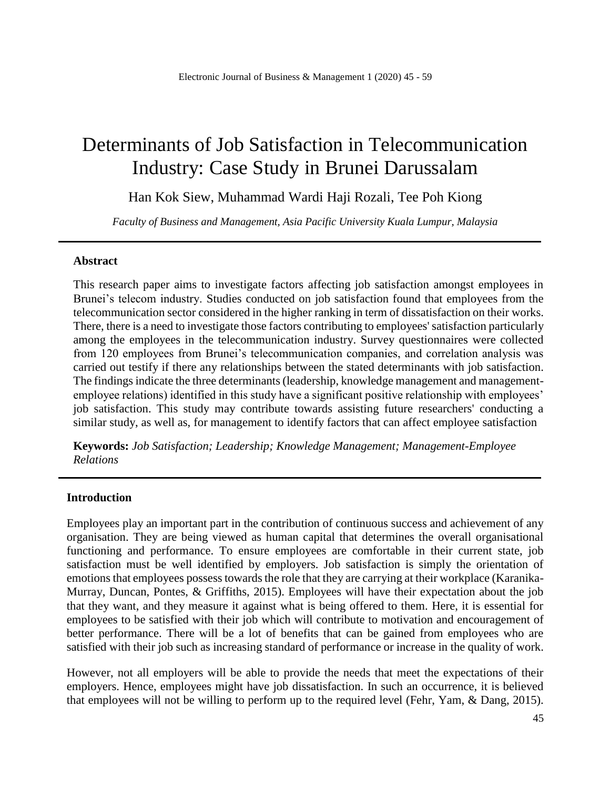# Determinants of Job Satisfaction in Telecommunication Industry: Case Study in Brunei Darussalam

Han Kok Siew, Muhammad Wardi Haji Rozali, Tee Poh Kiong

*Faculty of Business and Management, Asia Pacific University Kuala Lumpur, Malaysia*

#### **Abstract**

This research paper aims to investigate factors affecting job satisfaction amongst employees in Brunei's telecom industry. Studies conducted on job satisfaction found that employees from the telecommunication sector considered in the higher ranking in term of dissatisfaction on their works. There, there is a need to investigate those factors contributing to employees' satisfaction particularly among the employees in the telecommunication industry. Survey questionnaires were collected from 120 employees from Brunei's telecommunication companies, and correlation analysis was carried out testify if there any relationships between the stated determinants with job satisfaction. The findings indicate the three determinants (leadership, knowledge management and managementemployee relations) identified in this study have a significant positive relationship with employees' job satisfaction. This study may contribute towards assisting future researchers' conducting a similar study, as well as, for management to identify factors that can affect employee satisfaction

**Keywords:** *Job Satisfaction; Leadership; Knowledge Management; Management-Employee Relations*

#### **Introduction**

Employees play an important part in the contribution of continuous success and achievement of any organisation. They are being viewed as human capital that determines the overall organisational functioning and performance. To ensure employees are comfortable in their current state, job satisfaction must be well identified by employers. Job satisfaction is simply the orientation of emotions that employees possess towards the role that they are carrying at their workplace (Karanika-Murray, Duncan, Pontes, & Griffiths, 2015). Employees will have their expectation about the job that they want, and they measure it against what is being offered to them. Here, it is essential for employees to be satisfied with their job which will contribute to motivation and encouragement of better performance. There will be a lot of benefits that can be gained from employees who are satisfied with their job such as increasing standard of performance or increase in the quality of work.

However, not all employers will be able to provide the needs that meet the expectations of their employers. Hence, employees might have job dissatisfaction. In such an occurrence, it is believed that employees will not be willing to perform up to the required level (Fehr, Yam, & Dang, 2015).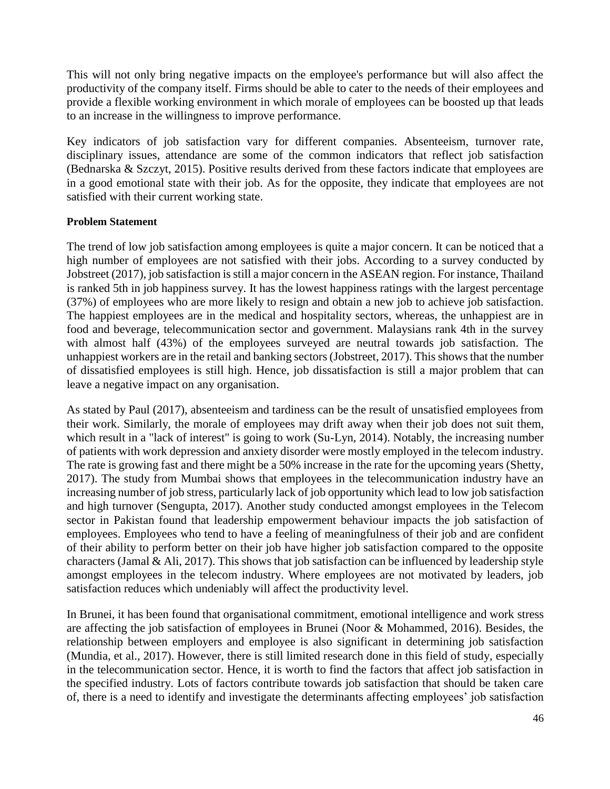This will not only bring negative impacts on the employee's performance but will also affect the productivity of the company itself. Firms should be able to cater to the needs of their employees and provide a flexible working environment in which morale of employees can be boosted up that leads to an increase in the willingness to improve performance.

Key indicators of job satisfaction vary for different companies. Absenteeism, turnover rate, disciplinary issues, attendance are some of the common indicators that reflect job satisfaction (Bednarska & Szczyt, 2015). Positive results derived from these factors indicate that employees are in a good emotional state with their job. As for the opposite, they indicate that employees are not satisfied with their current working state.

## **Problem Statement**

The trend of low job satisfaction among employees is quite a major concern. It can be noticed that a high number of employees are not satisfied with their jobs. According to a survey conducted by Jobstreet (2017), job satisfaction is still a major concern in the ASEAN region. For instance, Thailand is ranked 5th in job happiness survey. It has the lowest happiness ratings with the largest percentage (37%) of employees who are more likely to resign and obtain a new job to achieve job satisfaction. The happiest employees are in the medical and hospitality sectors, whereas, the unhappiest are in food and beverage, telecommunication sector and government. Malaysians rank 4th in the survey with almost half (43%) of the employees surveyed are neutral towards job satisfaction. The unhappiest workers are in the retail and banking sectors (Jobstreet, 2017). This shows that the number of dissatisfied employees is still high. Hence, job dissatisfaction is still a major problem that can leave a negative impact on any organisation.

As stated by Paul (2017), absenteeism and tardiness can be the result of unsatisfied employees from their work. Similarly, the morale of employees may drift away when their job does not suit them, which result in a "lack of interest" is going to work (Su-Lyn, 2014). Notably, the increasing number of patients with work depression and anxiety disorder were mostly employed in the telecom industry. The rate is growing fast and there might be a 50% increase in the rate for the upcoming years (Shetty, 2017). The study from Mumbai shows that employees in the telecommunication industry have an increasing number of job stress, particularly lack of job opportunity which lead to low job satisfaction and high turnover (Sengupta, 2017). Another study conducted amongst employees in the Telecom sector in Pakistan found that leadership empowerment behaviour impacts the job satisfaction of employees. Employees who tend to have a feeling of meaningfulness of their job and are confident of their ability to perform better on their job have higher job satisfaction compared to the opposite characters (Jamal & Ali, 2017). This shows that job satisfaction can be influenced by leadership style amongst employees in the telecom industry. Where employees are not motivated by leaders, job satisfaction reduces which undeniably will affect the productivity level.

In Brunei, it has been found that organisational commitment, emotional intelligence and work stress are affecting the job satisfaction of employees in Brunei (Noor & Mohammed, 2016). Besides, the relationship between employers and employee is also significant in determining job satisfaction (Mundia, et al., 2017). However, there is still limited research done in this field of study, especially in the telecommunication sector. Hence, it is worth to find the factors that affect job satisfaction in the specified industry. Lots of factors contribute towards job satisfaction that should be taken care of, there is a need to identify and investigate the determinants affecting employees' job satisfaction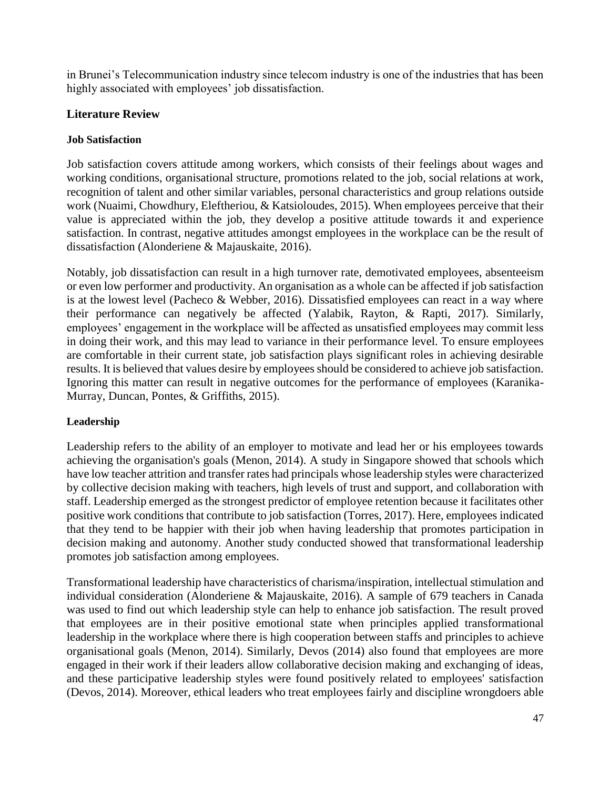in Brunei's Telecommunication industry since telecom industry is one of the industries that has been highly associated with employees' job dissatisfaction.

# **Literature Review**

## **Job Satisfaction**

Job satisfaction covers attitude among workers, which consists of their feelings about wages and working conditions, organisational structure, promotions related to the job, social relations at work, recognition of talent and other similar variables, personal characteristics and group relations outside work (Nuaimi, Chowdhury, Eleftheriou, & Katsioloudes, 2015). When employees perceive that their value is appreciated within the job, they develop a positive attitude towards it and experience satisfaction. In contrast, negative attitudes amongst employees in the workplace can be the result of dissatisfaction (Alonderiene & Majauskaite, 2016).

Notably, job dissatisfaction can result in a high turnover rate, demotivated employees, absenteeism or even low performer and productivity. An organisation as a whole can be affected if job satisfaction is at the lowest level (Pacheco & Webber, 2016). Dissatisfied employees can react in a way where their performance can negatively be affected (Yalabik, Rayton, & Rapti, 2017). Similarly, employees' engagement in the workplace will be affected as unsatisfied employees may commit less in doing their work, and this may lead to variance in their performance level. To ensure employees are comfortable in their current state, job satisfaction plays significant roles in achieving desirable results. It is believed that values desire by employees should be considered to achieve job satisfaction. Ignoring this matter can result in negative outcomes for the performance of employees (Karanika-Murray, Duncan, Pontes, & Griffiths, 2015).

# **Leadership**

Leadership refers to the ability of an employer to motivate and lead her or his employees towards achieving the organisation's goals (Menon, 2014). A study in Singapore showed that schools which have low teacher attrition and transfer rates had principals whose leadership styles were characterized by collective decision making with teachers, high levels of trust and support, and collaboration with staff. Leadership emerged as the strongest predictor of employee retention because it facilitates other positive work conditions that contribute to job satisfaction (Torres, 2017). Here, employees indicated that they tend to be happier with their job when having leadership that promotes participation in decision making and autonomy. Another study conducted showed that transformational leadership promotes job satisfaction among employees.

Transformational leadership have characteristics of charisma/inspiration, intellectual stimulation and individual consideration (Alonderiene & Majauskaite, 2016). A sample of 679 teachers in Canada was used to find out which leadership style can help to enhance job satisfaction. The result proved that employees are in their positive emotional state when principles applied transformational leadership in the workplace where there is high cooperation between staffs and principles to achieve organisational goals (Menon, 2014). Similarly, Devos (2014) also found that employees are more engaged in their work if their leaders allow collaborative decision making and exchanging of ideas, and these participative leadership styles were found positively related to employees' satisfaction (Devos, 2014). Moreover, ethical leaders who treat employees fairly and discipline wrongdoers able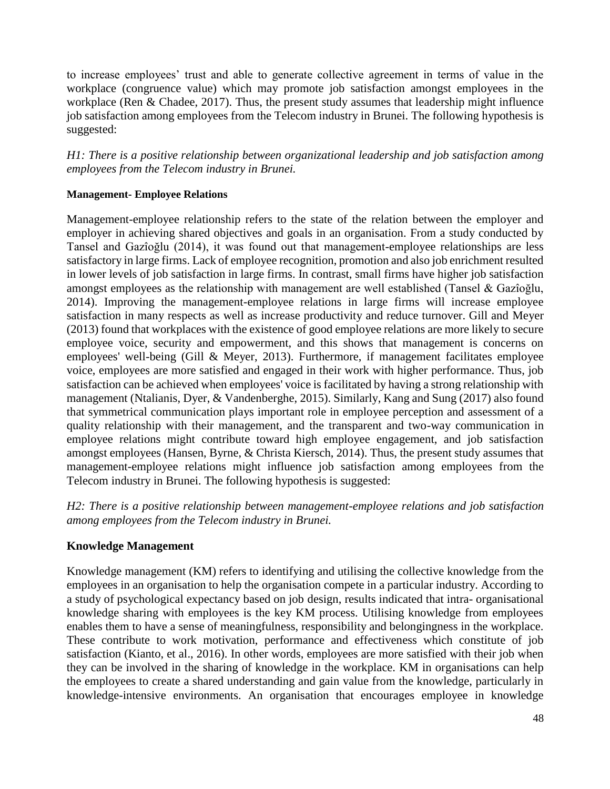to increase employees' trust and able to generate collective agreement in terms of value in the workplace (congruence value) which may promote job satisfaction amongst employees in the workplace (Ren & Chadee, 2017). Thus, the present study assumes that leadership might influence job satisfaction among employees from the Telecom industry in Brunei. The following hypothesis is suggested:

*H1: There is a positive relationship between organizational leadership and job satisfaction among employees from the Telecom industry in Brunei.*

## **Management- Employee Relations**

Management-employee relationship refers to the state of the relation between the employer and employer in achieving shared objectives and goals in an organisation. From a study conducted by Tansel and Gazîoğlu (2014), it was found out that management-employee relationships are less satisfactory in large firms. Lack of employee recognition, promotion and also job enrichment resulted in lower levels of job satisfaction in large firms. In contrast, small firms have higher job satisfaction amongst employees as the relationship with management are well established (Tansel & Gazîoğlu, 2014). Improving the management-employee relations in large firms will increase employee satisfaction in many respects as well as increase productivity and reduce turnover. Gill and Meyer (2013) found that workplaces with the existence of good employee relations are more likely to secure employee voice, security and empowerment, and this shows that management is concerns on employees' well-being (Gill & Meyer, 2013). Furthermore, if management facilitates employee voice, employees are more satisfied and engaged in their work with higher performance. Thus, job satisfaction can be achieved when employees' voice is facilitated by having a strong relationship with management (Ntalianis, Dyer, & Vandenberghe, 2015). Similarly, Kang and Sung (2017) also found that symmetrical communication plays important role in employee perception and assessment of a quality relationship with their management, and the transparent and two-way communication in employee relations might contribute toward high employee engagement, and job satisfaction amongst employees (Hansen, Byrne, & Christa Kiersch, 2014). Thus, the present study assumes that management-employee relations might influence job satisfaction among employees from the Telecom industry in Brunei. The following hypothesis is suggested:

*H2: There is a positive relationship between management-employee relations and job satisfaction among employees from the Telecom industry in Brunei.*

# **Knowledge Management**

Knowledge management (KM) refers to identifying and utilising the collective knowledge from the employees in an organisation to help the organisation compete in a particular industry. According to a study of psychological expectancy based on job design, results indicated that intra- organisational knowledge sharing with employees is the key KM process. Utilising knowledge from employees enables them to have a sense of meaningfulness, responsibility and belongingness in the workplace. These contribute to work motivation, performance and effectiveness which constitute of job satisfaction (Kianto, et al., 2016). In other words, employees are more satisfied with their job when they can be involved in the sharing of knowledge in the workplace. KM in organisations can help the employees to create a shared understanding and gain value from the knowledge, particularly in knowledge-intensive environments. An organisation that encourages employee in knowledge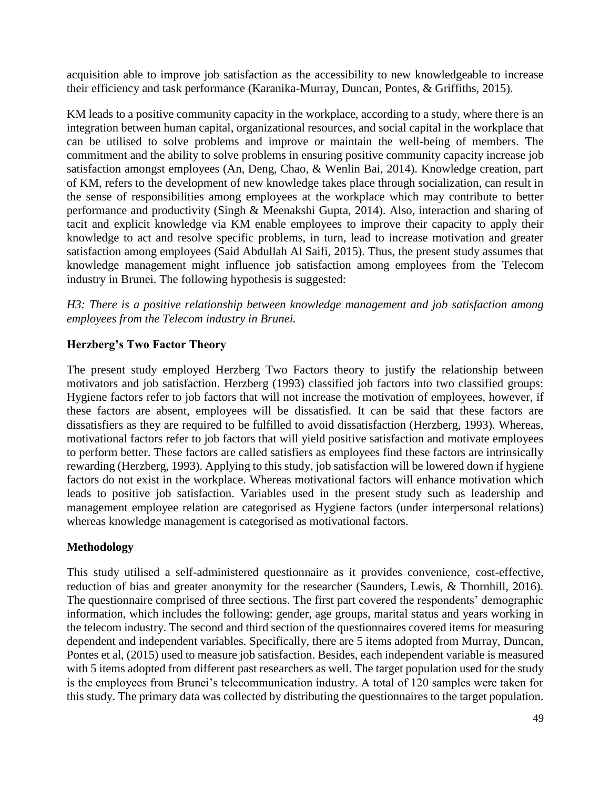acquisition able to improve job satisfaction as the accessibility to new knowledgeable to increase their efficiency and task performance (Karanika-Murray, Duncan, Pontes, & Griffiths, 2015).

KM leads to a positive community capacity in the workplace, according to a study, where there is an integration between human capital, organizational resources, and social capital in the workplace that can be utilised to solve problems and improve or maintain the well-being of members. The commitment and the ability to solve problems in ensuring positive community capacity increase job satisfaction amongst employees (An, Deng, Chao, & Wenlin Bai, 2014). Knowledge creation, part of KM, refers to the development of new knowledge takes place through socialization, can result in the sense of responsibilities among employees at the workplace which may contribute to better performance and productivity (Singh & Meenakshi Gupta, 2014). Also, interaction and sharing of tacit and explicit knowledge via KM enable employees to improve their capacity to apply their knowledge to act and resolve specific problems, in turn, lead to increase motivation and greater satisfaction among employees (Said Abdullah Al Saifi, 2015). Thus, the present study assumes that knowledge management might influence job satisfaction among employees from the Telecom industry in Brunei. The following hypothesis is suggested:

*H3: There is a positive relationship between knowledge management and job satisfaction among employees from the Telecom industry in Brunei.*

# **Herzberg's Two Factor Theory**

The present study employed Herzberg Two Factors theory to justify the relationship between motivators and job satisfaction. Herzberg (1993) classified job factors into two classified groups: Hygiene factors refer to job factors that will not increase the motivation of employees, however, if these factors are absent, employees will be dissatisfied. It can be said that these factors are dissatisfiers as they are required to be fulfilled to avoid dissatisfaction (Herzberg, 1993). Whereas, motivational factors refer to job factors that will yield positive satisfaction and motivate employees to perform better. These factors are called satisfiers as employees find these factors are intrinsically rewarding (Herzberg, 1993). Applying to this study, job satisfaction will be lowered down if hygiene factors do not exist in the workplace. Whereas motivational factors will enhance motivation which leads to positive job satisfaction. Variables used in the present study such as leadership and management employee relation are categorised as Hygiene factors (under interpersonal relations) whereas knowledge management is categorised as motivational factors.

# **Methodology**

This study utilised a self-administered questionnaire as it provides convenience, cost-effective, reduction of bias and greater anonymity for the researcher (Saunders, Lewis, & Thornhill, 2016). The questionnaire comprised of three sections. The first part covered the respondents' demographic information, which includes the following: gender, age groups, marital status and years working in the telecom industry. The second and third section of the questionnaires covered items for measuring dependent and independent variables. Specifically, there are 5 items adopted from Murray, Duncan, Pontes et al, (2015) used to measure job satisfaction. Besides, each independent variable is measured with 5 items adopted from different past researchers as well. The target population used for the study is the employees from Brunei's telecommunication industry. A total of 120 samples were taken for this study. The primary data was collected by distributing the questionnaires to the target population.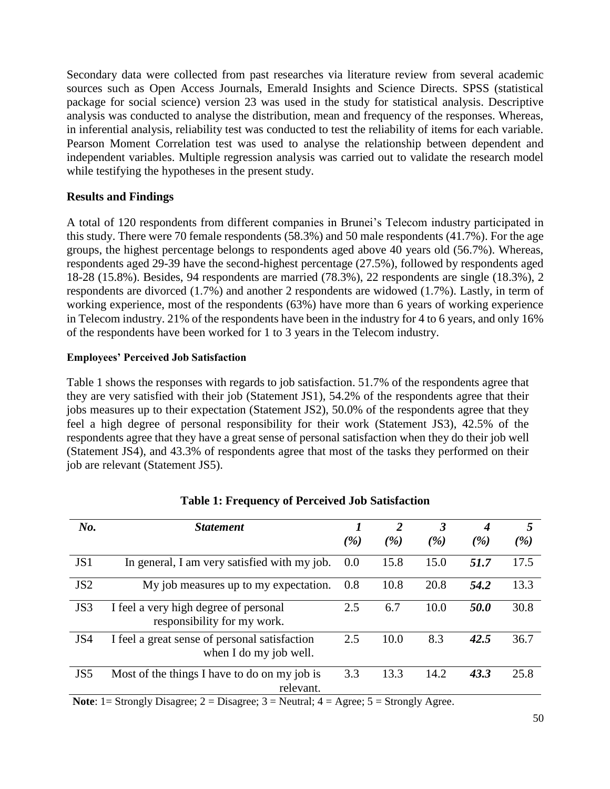Secondary data were collected from past researches via literature review from several academic sources such as Open Access Journals, Emerald Insights and Science Directs. SPSS (statistical package for social science) version 23 was used in the study for statistical analysis. Descriptive analysis was conducted to analyse the distribution, mean and frequency of the responses. Whereas, in inferential analysis, reliability test was conducted to test the reliability of items for each variable. Pearson Moment Correlation test was used to analyse the relationship between dependent and independent variables. Multiple regression analysis was carried out to validate the research model while testifying the hypotheses in the present study.

# **Results and Findings**

A total of 120 respondents from different companies in Brunei's Telecom industry participated in this study. There were 70 female respondents (58.3%) and 50 male respondents (41.7%). For the age groups, the highest percentage belongs to respondents aged above 40 years old (56.7%). Whereas, respondents aged 29-39 have the second-highest percentage (27.5%), followed by respondents aged 18-28 (15.8%). Besides, 94 respondents are married (78.3%), 22 respondents are single (18.3%), 2 respondents are divorced (1.7%) and another 2 respondents are widowed (1.7%). Lastly, in term of working experience, most of the respondents (63%) have more than 6 years of working experience in Telecom industry. 21% of the respondents have been in the industry for 4 to 6 years, and only 16% of the respondents have been worked for 1 to 3 years in the Telecom industry.

## **Employees' Perceived Job Satisfaction**

Table 1 shows the responses with regards to job satisfaction. 51.7% of the respondents agree that they are very satisfied with their job (Statement JS1), 54.2% of the respondents agree that their jobs measures up to their expectation (Statement JS2), 50.0% of the respondents agree that they feel a high degree of personal responsibility for their work (Statement JS3), 42.5% of the respondents agree that they have a great sense of personal satisfaction when they do their job well (Statement JS4), and 43.3% of respondents agree that most of the tasks they performed on their job are relevant (Statement JS5).

| No.             | <b>Statement</b>                                                        |                 | $\overline{2}$ | 3             | 4    | 5    |
|-----------------|-------------------------------------------------------------------------|-----------------|----------------|---------------|------|------|
|                 |                                                                         | $\mathscr{C}_0$ | ( %)           | $\frac{9}{6}$ | ( %) | ( %) |
| JS1             | In general, I am very satisfied with my job.<br>0.0                     |                 | 15.8           | 15.0          | 51.7 | 17.5 |
| JS <sub>2</sub> | My job measures up to my expectation.                                   |                 | 10.8           | 20.8          | 54.2 | 13.3 |
| JS3             | I feel a very high degree of personal<br>responsibility for my work.    |                 | 6.7            | 10.0          | 50.0 | 30.8 |
| JS4             | I feel a great sense of personal satisfaction<br>when I do my job well. |                 | 10.0           | 8.3           | 42.5 | 36.7 |
| JS5             | Most of the things I have to do on my job is<br>relevant.               | 3.3             | 13.3           | 14.2          | 43.3 | 25.8 |

## **Table 1: Frequency of Perceived Job Satisfaction**

**Note**: 1 = Strongly Disagree; 2 = Disagree; 3 = Neutral; 4 = Agree; 5 = Strongly Agree.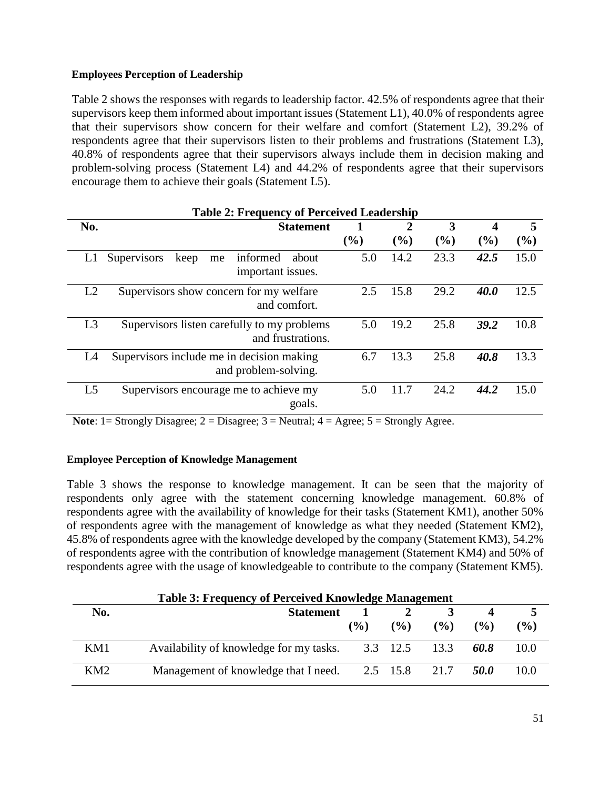## **Employees Perception of Leadership**

Table 2 shows the responses with regards to leadership factor. 42.5% of respondents agree that their supervisors keep them informed about important issues (Statement L1), 40.0% of respondents agree that their supervisors show concern for their welfare and comfort (Statement L2), 39.2% of respondents agree that their supervisors listen to their problems and frustrations (Statement L3), 40.8% of respondents agree that their supervisors always include them in decision making and problem-solving process (Statement L4) and 44.2% of respondents agree that their supervisors encourage them to achieve their goals (Statement L5).

|                | <b>Table 2: Frequency of Perceived Leadership</b>                   |        |      |      |                         |      |  |  |  |  |
|----------------|---------------------------------------------------------------------|--------|------|------|-------------------------|------|--|--|--|--|
| No.            | <b>Statement</b>                                                    |        | 2    | 3    | $\overline{\mathbf{4}}$ | 5    |  |  |  |  |
|                |                                                                     | $(\%)$ | (%)  | (%)  | (%)                     | (%)  |  |  |  |  |
| L1             | Supervisors<br>informed<br>keep<br>about<br>me<br>important issues. | 5.0    | 14.2 | 23.3 | 42.5                    | 15.0 |  |  |  |  |
| L2             | Supervisors show concern for my welfare<br>and comfort.             | 2.5    | 15.8 | 29.2 | 40.0                    | 12.5 |  |  |  |  |
| L <sub>3</sub> | Supervisors listen carefully to my problems<br>and frustrations.    | 5.0    | 19.2 | 25.8 | 39.2                    | 10.8 |  |  |  |  |
| L4             | Supervisors include me in decision making<br>and problem-solving.   | 6.7    | 13.3 | 25.8 | 40.8                    | 13.3 |  |  |  |  |
| L <sub>5</sub> | Supervisors encourage me to achieve my<br>goals.                    | 5.0    | 11.7 | 24.2 | 44.2                    | 15.0 |  |  |  |  |

**Note**:  $1 =$  Strongly Disagree;  $2 =$  Disagree;  $3 =$  Neutral;  $4 =$  Agree;  $5 =$  Strongly Agree.

## **Employee Perception of Knowledge Management**

Table 3 shows the response to knowledge management. It can be seen that the majority of respondents only agree with the statement concerning knowledge management. 60.8% of respondents agree with the availability of knowledge for their tasks (Statement KM1), another 50% of respondents agree with the management of knowledge as what they needed (Statement KM2), 45.8% of respondents agree with the knowledge developed by the company (Statement KM3), 54.2% of respondents agree with the contribution of knowledge management (Statement KM4) and 50% of respondents agree with the usage of knowledgeable to contribute to the company (Statement KM5).

| <b>Table 3: Frequency of Perceived Knowledge Management</b> |                                         |        |               |        |               |        |  |  |  |
|-------------------------------------------------------------|-----------------------------------------|--------|---------------|--------|---------------|--------|--|--|--|
| No.                                                         | <b>Statement</b>                        |        |               |        |               |        |  |  |  |
|                                                             |                                         | $($ %) | $\frac{9}{6}$ | $($ %) | $\frac{9}{6}$ | $($ %) |  |  |  |
| KM1                                                         | Availability of knowledge for my tasks. |        | 3.3 12.5 13.3 |        | 60.8          | 10.0   |  |  |  |
| KM <sub>2</sub>                                             | Management of knowledge that I need.    |        | 2.5 15.8 21.7 |        | 50.O          | 10.0   |  |  |  |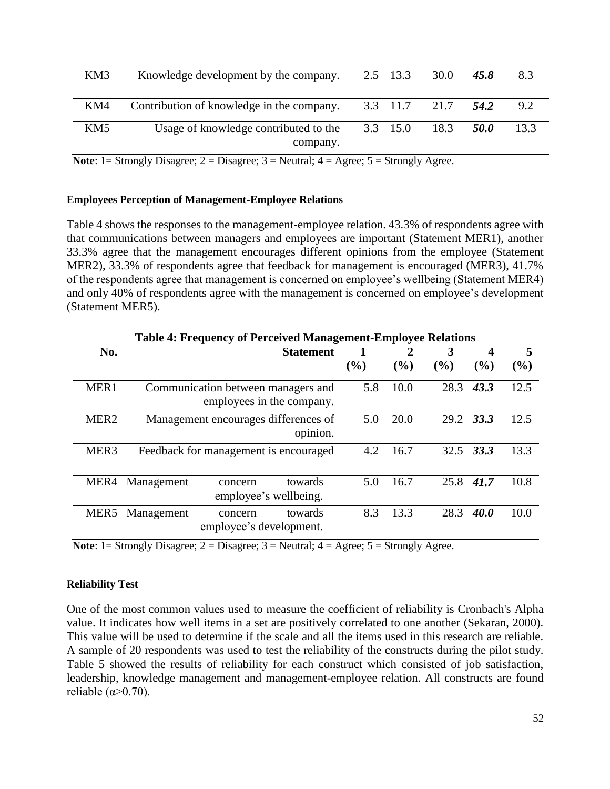| KM3             | Knowledge development by the company.             | 2.5 13.3         | 30.0               | 45.8 | 8.3  |
|-----------------|---------------------------------------------------|------------------|--------------------|------|------|
| KM4             | Contribution of knowledge in the company.         |                  | 3.3 11.7 21.7 54.2 |      | 9.2  |
| KM <sub>5</sub> | Usage of knowledge contributed to the<br>company. | $3.3 \quad 15.0$ | 18.3               | 50.O | 13.3 |

**Note**: 1 = Strongly Disagree; 2 = Disagree; 3 = Neutral; 4 = Agree; 5 = Strongly Agree.

#### **Employees Perception of Management-Employee Relations**

Table 4 shows the responses to the management-employee relation. 43.3% of respondents agree with that communications between managers and employees are important (Statement MER1), another 33.3% agree that the management encourages different opinions from the employee (Statement MER2), 33.3% of respondents agree that feedback for management is encouraged (MER3), 41.7% of the respondents agree that management is concerned on employee's wellbeing (Statement MER4) and only 40% of respondents agree with the management is concerned on employee's development (Statement MER5).

|                  |            | <b>Table 4: Frequency of Perceived Management-Employee Relations</b> |                  |     |                |      |           |      |
|------------------|------------|----------------------------------------------------------------------|------------------|-----|----------------|------|-----------|------|
| No.              |            |                                                                      | <b>Statement</b> |     | $\overline{2}$ | 3    | 4         | 5    |
|                  |            |                                                                      |                  | (%) | $($ %)         | (%)  | (%)       | (%)  |
| MER <sub>1</sub> |            | Communication between managers and<br>employees in the company.      |                  |     |                | 28.3 | 43.3      | 12.5 |
| MER <sub>2</sub> |            | Management encourages differences of                                 | opinion.         | 5.0 | 20.0           |      | 29.2 33.3 | 12.5 |
| MER <sub>3</sub> |            | Feedback for management is encouraged                                |                  | 4.2 | 16.7           | 32.5 | 33.3      | 13.3 |
| MER4             | Management | concern<br>employee's wellbeing.                                     | towards          | 5.0 | 16.7           | 25.8 | 41.7      | 10.8 |
| MER5             | Management | concern<br>employee's development.                                   | towards          | 8.3 | 13.3           | 28.3 | 40.0      | 10.0 |

**Note**:  $1 =$  Strongly Disagree;  $2 =$  Disagree;  $3 =$  Neutral;  $4 =$  Agree;  $5 =$  Strongly Agree.

#### **Reliability Test**

One of the most common values used to measure the coefficient of reliability is Cronbach's Alpha value. It indicates how well items in a set are positively correlated to one another (Sekaran, 2000). This value will be used to determine if the scale and all the items used in this research are reliable. A sample of 20 respondents was used to test the reliability of the constructs during the pilot study. Table 5 showed the results of reliability for each construct which consisted of job satisfaction, leadership, knowledge management and management-employee relation. All constructs are found reliable  $(\alpha > 0.70)$ .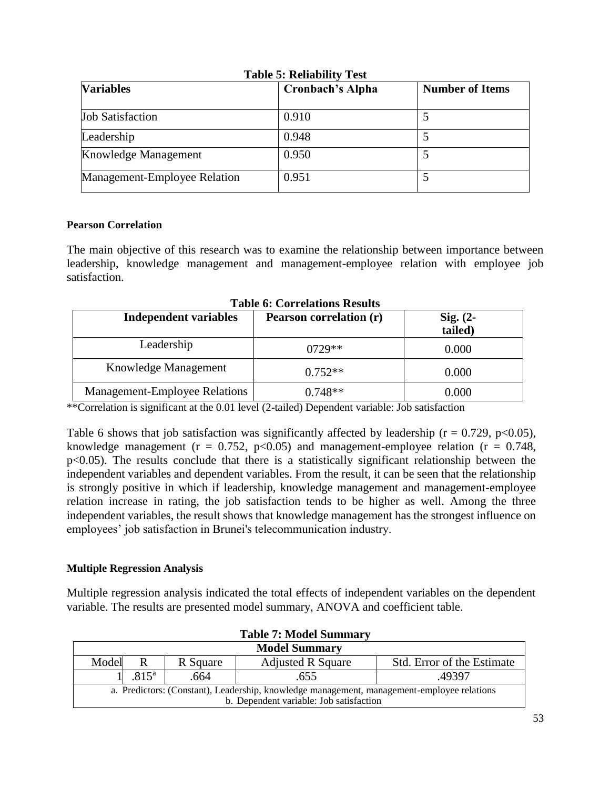| Table S. Kenability Test<br><b>Variables</b> | <b>Cronbach's Alpha</b> |  |  |
|----------------------------------------------|-------------------------|--|--|
| <b>Job Satisfaction</b>                      | 0.910                   |  |  |
| Leadership                                   | 0.948                   |  |  |
| Knowledge Management                         | 0.950                   |  |  |
| Management-Employee Relation                 | 0.951                   |  |  |

#### **Table 5: Reliability Test**

## **Pearson Correlation**

The main objective of this research was to examine the relationship between importance between leadership, knowledge management and management-employee relation with employee job satisfaction.

| <b>Independent variables</b>         | Pearson correlation (r) | $Sig. (2-$<br>tailed) |
|--------------------------------------|-------------------------|-----------------------|
| Leadership                           | $0729**$                | 0.000                 |
| Knowledge Management                 | $0.752**$               | 0.000                 |
| <b>Management-Employee Relations</b> | $0.748**$               | 0.000                 |

**Table 6: Correlations Results**

\*\*Correlation is significant at the 0.01 level (2-tailed) Dependent variable: Job satisfaction

Table 6 shows that job satisfaction was significantly affected by leadership ( $r = 0.729$ ,  $p < 0.05$ ), knowledge management ( $r = 0.752$ ,  $p < 0.05$ ) and management-employee relation ( $r = 0.748$ , p<0.05). The results conclude that there is a statistically significant relationship between the independent variables and dependent variables. From the result, it can be seen that the relationship is strongly positive in which if leadership, knowledge management and management-employee relation increase in rating, the job satisfaction tends to be higher as well. Among the three independent variables, the result shows that knowledge management has the strongest influence on employees' job satisfaction in Brunei's telecommunication industry.

## **Multiple Regression Analysis**

Multiple regression analysis indicated the total effects of independent variables on the dependent variable. The results are presented model summary, ANOVA and coefficient table.

| <b>Table 7: Model Summary</b>                                                              |                                                                                   |      |                                         |        |  |  |  |  |
|--------------------------------------------------------------------------------------------|-----------------------------------------------------------------------------------|------|-----------------------------------------|--------|--|--|--|--|
| <b>Model Summary</b>                                                                       |                                                                                   |      |                                         |        |  |  |  |  |
|                                                                                            | Model<br>Std. Error of the Estimate<br><b>Adjusted R Square</b><br>R Square<br>R. |      |                                         |        |  |  |  |  |
|                                                                                            | $.815^{\rm a}$                                                                    | .664 | .655                                    | .49397 |  |  |  |  |
| a. Predictors: (Constant), Leadership, knowledge management, management-employee relations |                                                                                   |      |                                         |        |  |  |  |  |
|                                                                                            |                                                                                   |      | b. Dependent variable: Job satisfaction |        |  |  |  |  |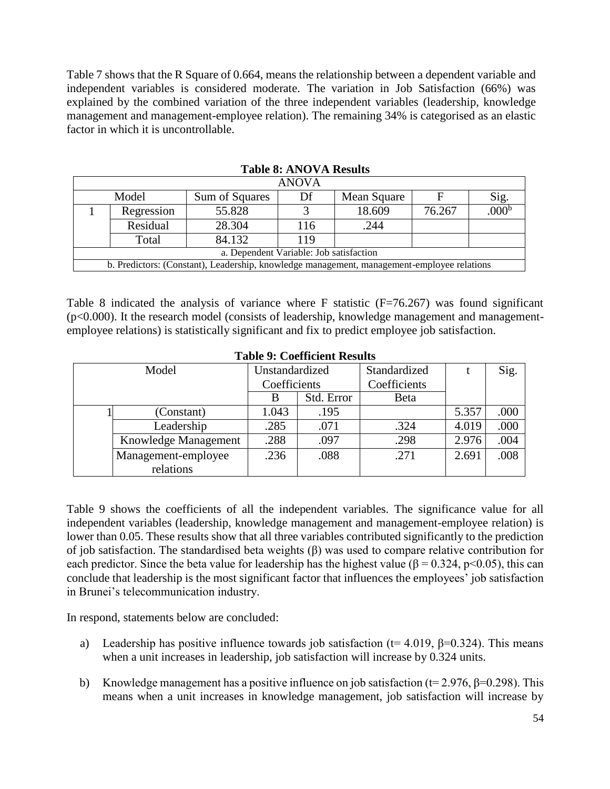Table 7 shows that the R Square of 0.664, means the relationship between a dependent variable and independent variables is considered moderate. The variation in Job Satisfaction (66%) was explained by the combined variation of the three independent variables (leadership, knowledge management and management-employee relation). The remaining 34% is categorised as an elastic factor in which it is uncontrollable.

| ANOVA                                   |            |                                                                                            |     |             |        |                   |  |  |
|-----------------------------------------|------------|--------------------------------------------------------------------------------------------|-----|-------------|--------|-------------------|--|--|
| Model                                   |            | Sum of Squares                                                                             | Df  | Mean Square |        | Sig.              |  |  |
|                                         | Regression | 55.828                                                                                     |     | 18.609      | 76.267 | .000 <sub>p</sub> |  |  |
|                                         | Residual   | 28.304                                                                                     | 116 | .244        |        |                   |  |  |
|                                         | Total      | 84.132                                                                                     | 119 |             |        |                   |  |  |
| a. Dependent Variable: Job satisfaction |            |                                                                                            |     |             |        |                   |  |  |
|                                         |            | b. Predictors: (Constant), Leadership, knowledge management, management-employee relations |     |             |        |                   |  |  |

#### **Table 8: ANOVA Results**

Table 8 indicated the analysis of variance where F statistic (F=76.267) was found significant (p<0.000). It the research model (consists of leadership, knowledge management and managementemployee relations) is statistically significant and fix to predict employee job satisfaction.

|       | Table 9. Cochiletti Results |                |            |              |       |      |  |  |  |  |  |
|-------|-----------------------------|----------------|------------|--------------|-------|------|--|--|--|--|--|
| Model |                             | Unstandardized |            | Standardized |       | Sig. |  |  |  |  |  |
|       |                             | Coefficients   |            | Coefficients |       |      |  |  |  |  |  |
|       |                             | В              | Std. Error | <b>Beta</b>  |       |      |  |  |  |  |  |
|       | (Constant)                  | 1.043          | .195       |              | 5.357 | .000 |  |  |  |  |  |
|       | Leadership                  | .285           | .071       | .324         | 4.019 | .000 |  |  |  |  |  |
|       | Knowledge Management        | .288           | .097       | .298         | 2.976 | .004 |  |  |  |  |  |
|       | Management-employee         | .236           | .088       | .271         | 2.691 | .008 |  |  |  |  |  |
|       | relations                   |                |            |              |       |      |  |  |  |  |  |

#### **Table 9: Coefficient Results**

Table 9 shows the coefficients of all the independent variables. The significance value for all independent variables (leadership, knowledge management and management-employee relation) is lower than 0.05. These results show that all three variables contributed significantly to the prediction of job satisfaction. The standardised beta weights (β) was used to compare relative contribution for each predictor. Since the beta value for leadership has the highest value ( $\beta$  = 0.324, p<0.05), this can conclude that leadership is the most significant factor that influences the employees' job satisfaction in Brunei's telecommunication industry.

In respond, statements below are concluded:

- a) Leadership has positive influence towards job satisfaction (t= 4.019,  $\beta$ =0.324). This means when a unit increases in leadership, job satisfaction will increase by 0.324 units.
- b) Knowledge management has a positive influence on job satisfaction ( $t= 2.976$ ,  $\beta=0.298$ ). This means when a unit increases in knowledge management, job satisfaction will increase by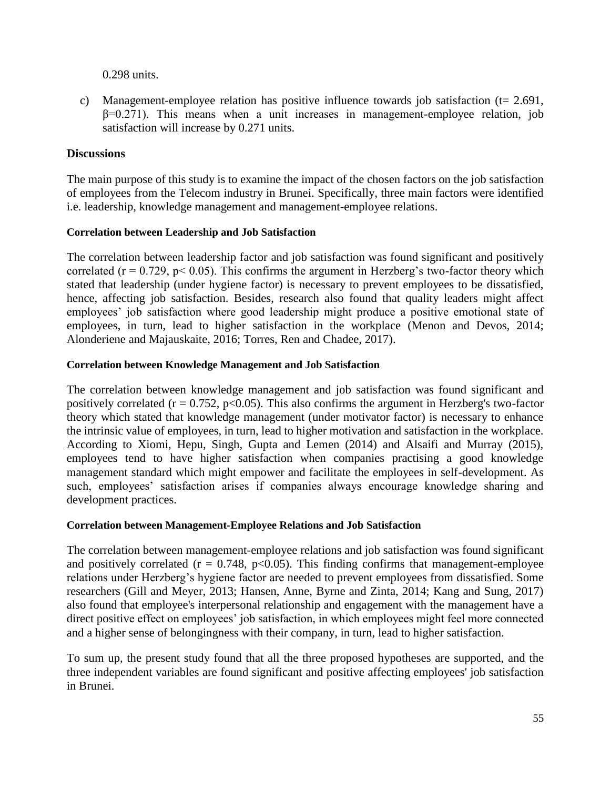0.298 units.

c) Management-employee relation has positive influence towards job satisfaction ( $t= 2.691$ ,  $\beta$ =0.271). This means when a unit increases in management-employee relation, job satisfaction will increase by 0.271 units.

## **Discussions**

The main purpose of this study is to examine the impact of the chosen factors on the job satisfaction of employees from the Telecom industry in Brunei. Specifically, three main factors were identified i.e. leadership, knowledge management and management-employee relations.

## **Correlation between Leadership and Job Satisfaction**

The correlation between leadership factor and job satisfaction was found significant and positively correlated ( $r = 0.729$ ,  $p < 0.05$ ). This confirms the argument in Herzberg's two-factor theory which stated that leadership (under hygiene factor) is necessary to prevent employees to be dissatisfied, hence, affecting job satisfaction. Besides, research also found that quality leaders might affect employees' job satisfaction where good leadership might produce a positive emotional state of employees, in turn, lead to higher satisfaction in the workplace (Menon and Devos, 2014; Alonderiene and Majauskaite, 2016; Torres, Ren and Chadee, 2017).

## **Correlation between Knowledge Management and Job Satisfaction**

The correlation between knowledge management and job satisfaction was found significant and positively correlated ( $r = 0.752$ ,  $p < 0.05$ ). This also confirms the argument in Herzberg's two-factor theory which stated that knowledge management (under motivator factor) is necessary to enhance the intrinsic value of employees, in turn, lead to higher motivation and satisfaction in the workplace. According to Xiomi, Hepu, Singh, Gupta and Lemen (2014) and Alsaifi and Murray (2015), employees tend to have higher satisfaction when companies practising a good knowledge management standard which might empower and facilitate the employees in self-development. As such, employees' satisfaction arises if companies always encourage knowledge sharing and development practices.

## **Correlation between Management-Employee Relations and Job Satisfaction**

The correlation between management-employee relations and job satisfaction was found significant and positively correlated ( $r = 0.748$ ,  $p < 0.05$ ). This finding confirms that management-employee relations under Herzberg's hygiene factor are needed to prevent employees from dissatisfied. Some researchers (Gill and Meyer, 2013; Hansen, Anne, Byrne and Zinta, 2014; Kang and Sung, 2017) also found that employee's interpersonal relationship and engagement with the management have a direct positive effect on employees' job satisfaction, in which employees might feel more connected and a higher sense of belongingness with their company, in turn, lead to higher satisfaction.

To sum up, the present study found that all the three proposed hypotheses are supported, and the three independent variables are found significant and positive affecting employees' job satisfaction in Brunei.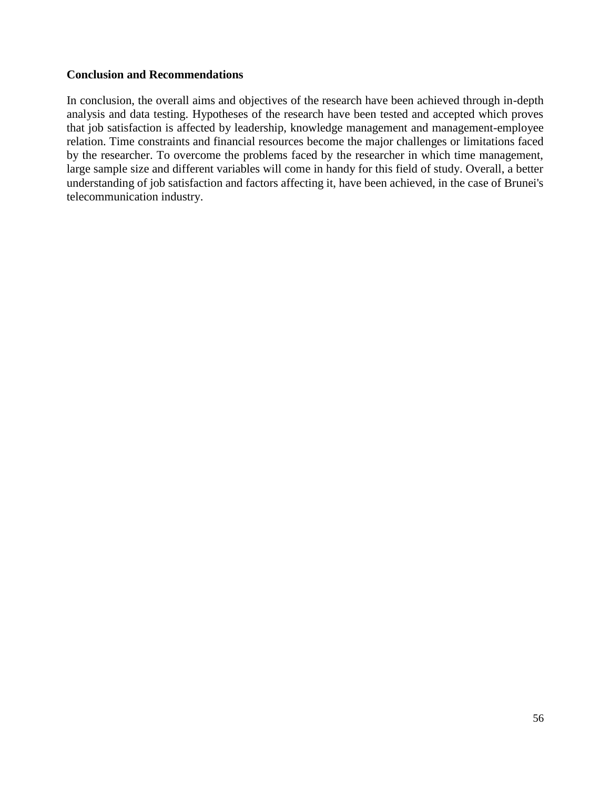## **Conclusion and Recommendations**

In conclusion, the overall aims and objectives of the research have been achieved through in-depth analysis and data testing. Hypotheses of the research have been tested and accepted which proves that job satisfaction is affected by leadership, knowledge management and management-employee relation. Time constraints and financial resources become the major challenges or limitations faced by the researcher. To overcome the problems faced by the researcher in which time management, large sample size and different variables will come in handy for this field of study. Overall, a better understanding of job satisfaction and factors affecting it, have been achieved, in the case of Brunei's telecommunication industry.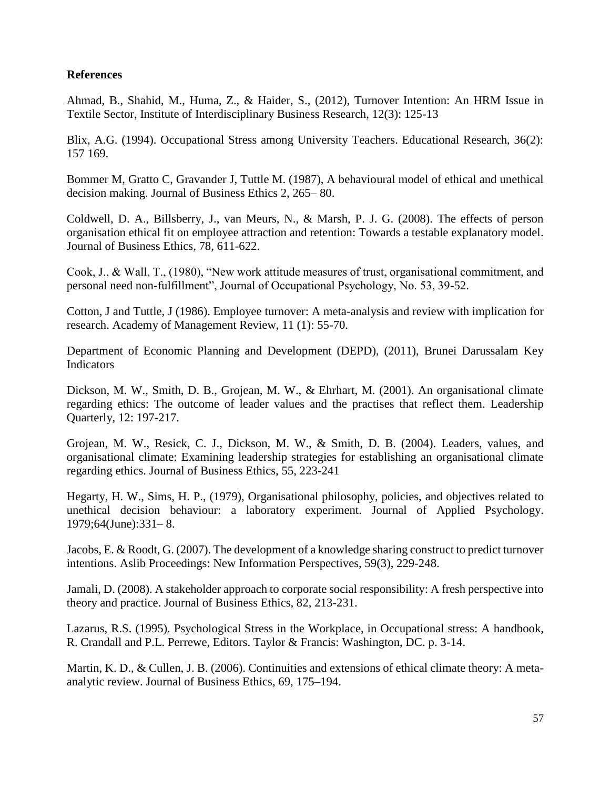## **References**

Ahmad, B., Shahid, M., Huma, Z., & Haider, S., (2012), Turnover Intention: An HRM Issue in Textile Sector, Institute of Interdisciplinary Business Research, 12(3): 125-13

Blix, A.G. (1994). Occupational Stress among University Teachers. Educational Research, 36(2): 157 169.

Bommer M, Gratto C, Gravander J, Tuttle M. (1987), A behavioural model of ethical and unethical decision making. Journal of Business Ethics 2, 265– 80.

Coldwell, D. A., Billsberry, J., van Meurs, N., & Marsh, P. J. G. (2008). The effects of person organisation ethical fit on employee attraction and retention: Towards a testable explanatory model. Journal of Business Ethics, 78, 611-622.

Cook, J., & Wall, T., (1980), "New work attitude measures of trust, organisational commitment, and personal need non-fulfillment", Journal of Occupational Psychology, No. 53, 39-52.

Cotton, J and Tuttle, J (1986). Employee turnover: A meta-analysis and review with implication for research. Academy of Management Review, 11 (1): 55-70.

Department of Economic Planning and Development (DEPD), (2011), Brunei Darussalam Key Indicators

Dickson, M. W., Smith, D. B., Grojean, M. W., & Ehrhart, M. (2001). An organisational climate regarding ethics: The outcome of leader values and the practises that reflect them. Leadership Quarterly, 12: 197-217.

Grojean, M. W., Resick, C. J., Dickson, M. W., & Smith, D. B. (2004). Leaders, values, and organisational climate: Examining leadership strategies for establishing an organisational climate regarding ethics. Journal of Business Ethics, 55, 223-241

Hegarty, H. W., Sims, H. P., (1979), Organisational philosophy, policies, and objectives related to unethical decision behaviour: a laboratory experiment. Journal of Applied Psychology. 1979;64(June):331– 8.

Jacobs, E. & Roodt, G. (2007). The development of a knowledge sharing construct to predict turnover intentions. Aslib Proceedings: New Information Perspectives, 59(3), 229-248.

Jamali, D. (2008). A stakeholder approach to corporate social responsibility: A fresh perspective into theory and practice. Journal of Business Ethics, 82, 213-231.

Lazarus, R.S. (1995). Psychological Stress in the Workplace, in Occupational stress: A handbook, R. Crandall and P.L. Perrewe, Editors. Taylor & Francis: Washington, DC. p. 3-14.

Martin, K. D., & Cullen, J. B. (2006). Continuities and extensions of ethical climate theory: A metaanalytic review. Journal of Business Ethics, 69, 175–194.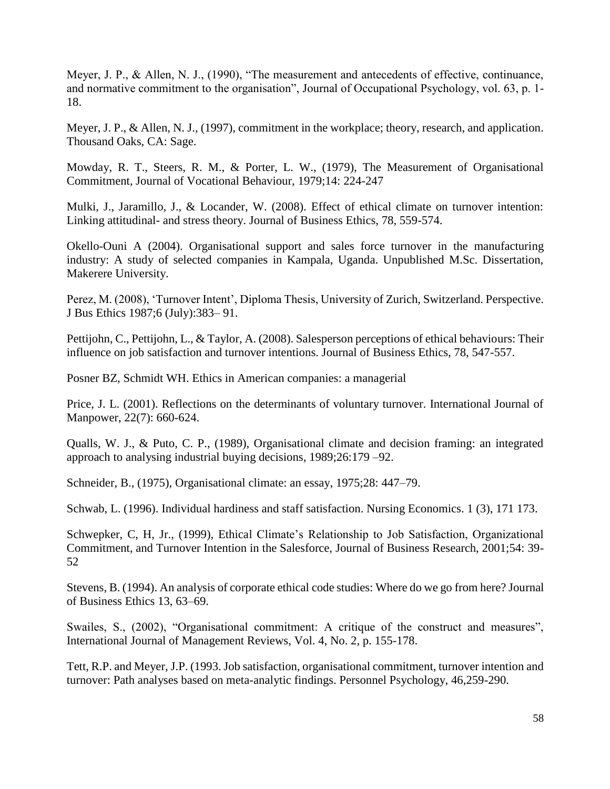Meyer, J. P., & Allen, N. J., (1990), "The measurement and antecedents of effective, continuance, and normative commitment to the organisation", Journal of Occupational Psychology, vol. 63, p. 1- 18.

Meyer, J. P., & Allen, N. J., (1997), commitment in the workplace; theory, research, and application. Thousand Oaks, CA: Sage.

Mowday, R. T., Steers, R. M., & Porter, L. W., (1979), The Measurement of Organisational Commitment, Journal of Vocational Behaviour, 1979;14: 224-247

Mulki, J., Jaramillo, J., & Locander, W. (2008). Effect of ethical climate on turnover intention: Linking attitudinal- and stress theory. Journal of Business Ethics, 78, 559-574.

Okello-Ouni A (2004). Organisational support and sales force turnover in the manufacturing industry: A study of selected companies in Kampala, Uganda. Unpublished M.Sc. Dissertation, Makerere University.

Perez, M. (2008), 'Turnover Intent', Diploma Thesis, University of Zurich, Switzerland. Perspective. J Bus Ethics 1987;6 (July):383– 91.

Pettijohn, C., Pettijohn, L., & Taylor, A. (2008). Salesperson perceptions of ethical behaviours: Their influence on job satisfaction and turnover intentions. Journal of Business Ethics, 78, 547-557.

Posner BZ, Schmidt WH. Ethics in American companies: a managerial

Price, J. L. (2001). Reflections on the determinants of voluntary turnover. International Journal of Manpower, 22(7): 660-624.

Qualls, W. J., & Puto, C. P., (1989), Organisational climate and decision framing: an integrated approach to analysing industrial buying decisions, 1989;26:179 –92.

Schneider, B., (1975), Organisational climate: an essay, 1975;28: 447–79.

Schwab, L. (1996). Individual hardiness and staff satisfaction. Nursing Economics. 1 (3), 171 173.

Schwepker, C, H, Jr., (1999), Ethical Climate's Relationship to Job Satisfaction, Organizational Commitment, and Turnover Intention in the Salesforce, Journal of Business Research, 2001;54: 39- 52

Stevens, B. (1994). An analysis of corporate ethical code studies: Where do we go from here? Journal of Business Ethics 13, 63–69.

Swailes, S., (2002), "Organisational commitment: A critique of the construct and measures", International Journal of Management Reviews, Vol. 4, No. 2, p. 155-178.

Tett, R.P. and Meyer, J.P. (1993. Job satisfaction, organisational commitment, turnover intention and turnover: Path analyses based on meta-analytic findings. Personnel Psychology, 46,259-290.